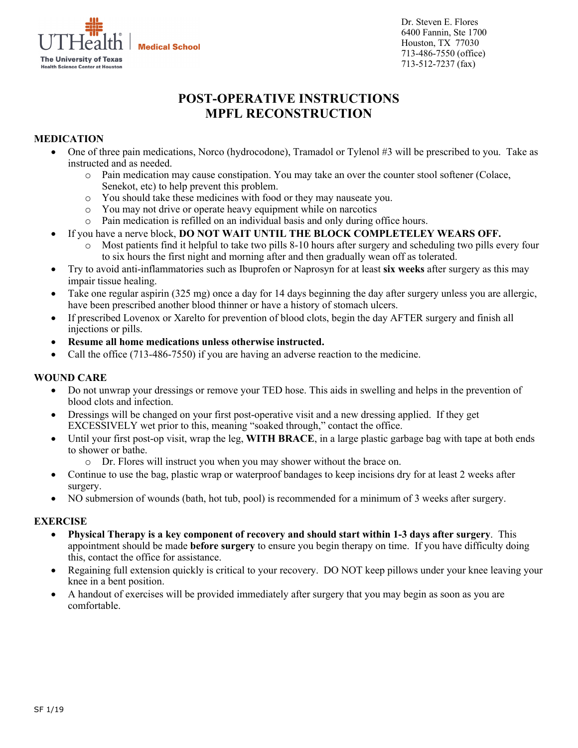

**Medical School** 

Dr. Steven E. Flores 6400 Fannin, Ste 1700 Houston, TX 77030 713-486-7550 (office) 713-512-7237 (fax)

# **POST-OPERATIVE INSTRUCTIONS MPFL RECONSTRUCTION**

## **MEDICATION**

- One of three pain medications, Norco (hydrocodone), Tramadol or Tylenol #3 will be prescribed to you. Take as instructed and as needed.
	- o Pain medication may cause constipation. You may take an over the counter stool softener (Colace, Senekot, etc) to help prevent this problem.
	- o You should take these medicines with food or they may nauseate you.
	- o You may not drive or operate heavy equipment while on narcotics
	- o Pain medication is refilled on an individual basis and only during office hours.
- If you have a nerve block, **DO NOT WAIT UNTIL THE BLOCK COMPLETELEY WEARS OFF.** 
	- o Most patients find it helpful to take two pills 8-10 hours after surgery and scheduling two pills every four to six hours the first night and morning after and then gradually wean off as tolerated.
- Try to avoid anti-inflammatories such as Ibuprofen or Naprosyn for at least **six weeks** after surgery as this may impair tissue healing.
- Take one regular aspirin (325 mg) once a day for 14 days beginning the day after surgery unless you are allergic, have been prescribed another blood thinner or have a history of stomach ulcers.
- If prescribed Lovenox or Xarelto for prevention of blood clots, begin the day AFTER surgery and finish all injections or pills.
- **Resume all home medications unless otherwise instructed.**
- Call the office (713-486-7550) if you are having an adverse reaction to the medicine.

#### **WOUND CARE**

- Do not unwrap your dressings or remove your TED hose. This aids in swelling and helps in the prevention of blood clots and infection.
- Dressings will be changed on your first post-operative visit and a new dressing applied. If they get EXCESSIVELY wet prior to this, meaning "soaked through," contact the office.
- Until your first post-op visit, wrap the leg, **WITH BRACE**, in a large plastic garbage bag with tape at both ends to shower or bathe.
	- o Dr. Flores will instruct you when you may shower without the brace on.
- Continue to use the bag, plastic wrap or waterproof bandages to keep incisions dry for at least 2 weeks after surgery.
- NO submersion of wounds (bath, hot tub, pool) is recommended for a minimum of 3 weeks after surgery.

## **EXERCISE**

- **Physical Therapy is a key component of recovery and should start within 1-3 days after surgery**. This appointment should be made **before surgery** to ensure you begin therapy on time. If you have difficulty doing this, contact the office for assistance.
- Regaining full extension quickly is critical to your recovery. DO NOT keep pillows under your knee leaving your knee in a bent position.
- A handout of exercises will be provided immediately after surgery that you may begin as soon as you are comfortable.